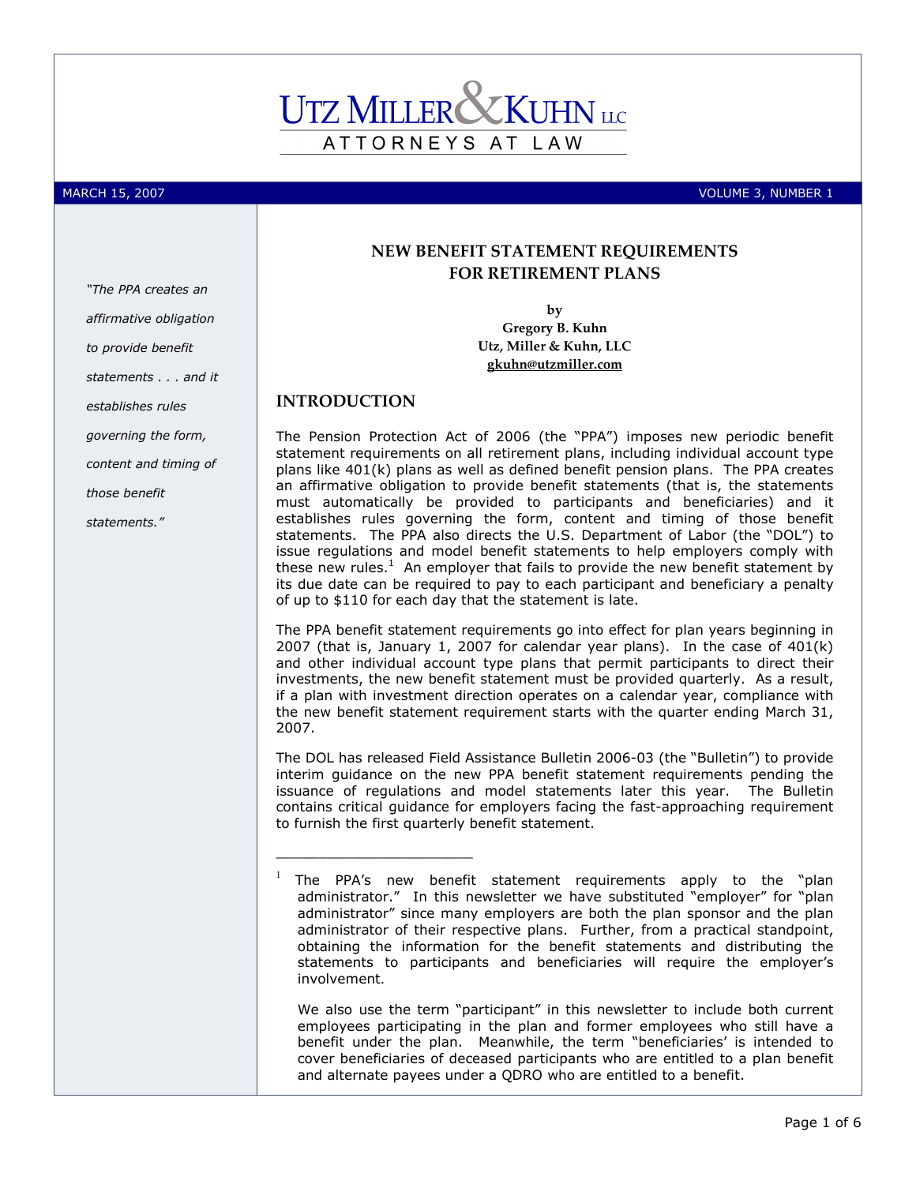# ATTORNEYS AT LAW

MARCH 15, 2007 VOLUME 3, NUMBER 1

# NEW BENEFIT STATEMENT REQUIREMENTS FOR RETIREMENT PLANS

by Gregory B. Kuhn Utz, Miller & Kuhn, LLC gkuhn@utzmiller.com

# INTRODUCTION

\_\_\_\_\_\_\_\_\_\_\_\_\_\_\_\_\_\_\_\_\_\_\_

The Pension Protection Act of 2006 (the "PPA") imposes new periodic benefit statement requirements on all retirement plans, including individual account type plans like 401(k) plans as well as defined benefit pension plans. The PPA creates an affirmative obligation to provide benefit statements (that is, the statements must automatically be provided to participants and beneficiaries) and it establishes rules governing the form, content and timing of those benefit statements. The PPA also directs the U.S. Department of Labor (the "DOL") to issue regulations and model benefit statements to help employers comply with these new rules.<sup>1</sup> An employer that fails to provide the new benefit statement by its due date can be required to pay to each participant and beneficiary a penalty of up to \$110 for each day that the statement is late.

The PPA benefit statement requirements go into effect for plan years beginning in 2007 (that is, January 1, 2007 for calendar year plans). In the case of 401(k) and other individual account type plans that permit participants to direct their investments, the new benefit statement must be provided quarterly. As a result, if a plan with investment direction operates on a calendar year, compliance with the new benefit statement requirement starts with the quarter ending March 31, 2007.

The DOL has released Field Assistance Bulletin 2006-03 (the "Bulletin") to provide interim guidance on the new PPA benefit statement requirements pending the issuance of regulations and model statements later this year. The Bulletin contains critical guidance for employers facing the fast-approaching requirement to furnish the first quarterly benefit statement.

We also use the term "participant" in this newsletter to include both current employees participating in the plan and former employees who still have a benefit under the plan. Meanwhile, the term "beneficiaries' is intended to cover beneficiaries of deceased participants who are entitled to a plan benefit and alternate payees under a QDRO who are entitled to a benefit.

affirmative obligation to provide benefit statements . . . and it establishes rules governing the form, content and timing of those benefit statements."

"The PPA creates an

<sup>1</sup> The PPA's new benefit statement requirements apply to the "plan administrator." In this newsletter we have substituted "employer" for "plan administrator" since many employers are both the plan sponsor and the plan administrator of their respective plans. Further, from a practical standpoint, obtaining the information for the benefit statements and distributing the statements to participants and beneficiaries will require the employer's involvement.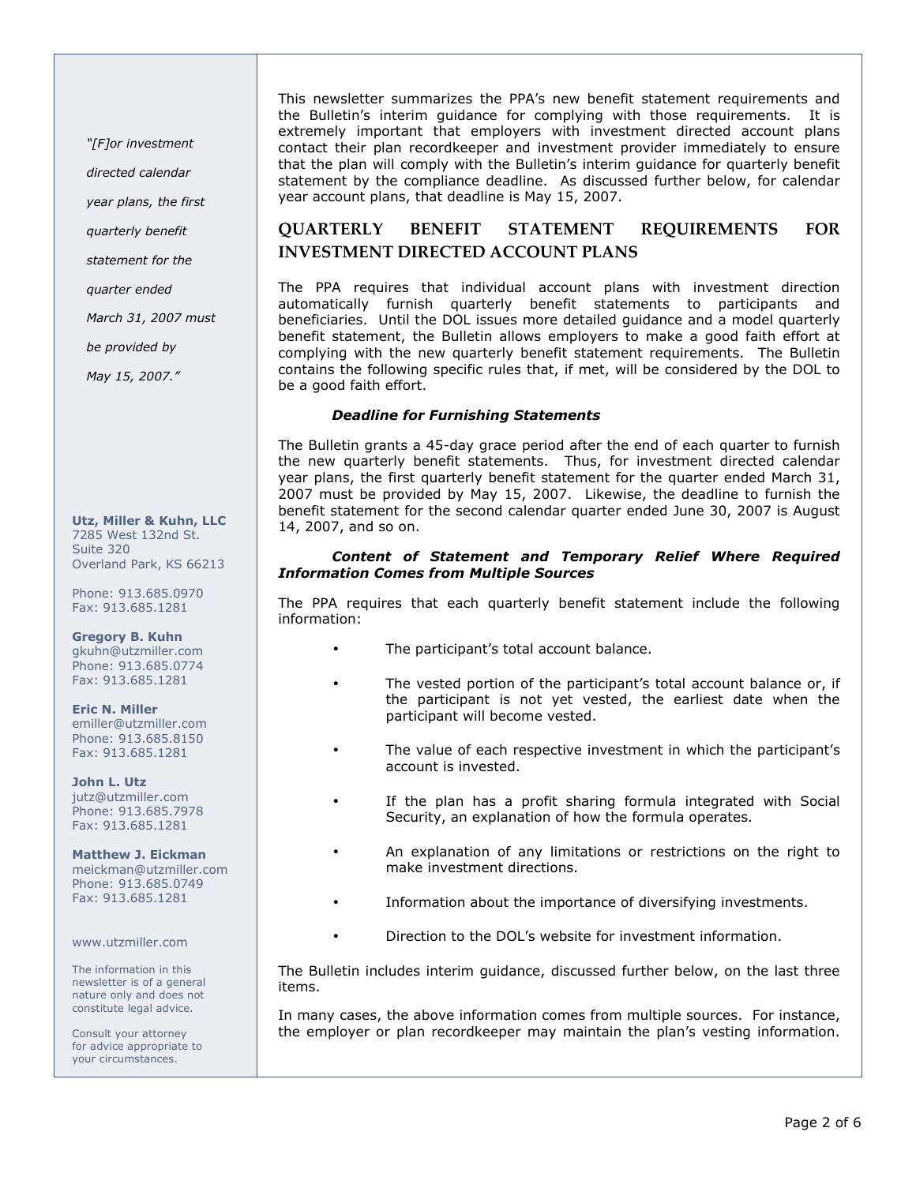"[F]or investment

directed calendar

year plans, the first

quarterly benefit

statement for the

quarter ended

March 31, 2007 must

be provided by

May 15, 2007."

Utz, Miller & Kuhn, LLC 7285 West 132nd St. Suite 320 Overland Park, KS 66213

Phone: 913.685.0970 Fax: 913.685.1281

Gregory B. Kuhn gkuhn@utzmiller.com Phone: 913.685.0774 Fax: 913.685.1281

Eric N. Miller emiller@utzmiller.com Phone: 913.685.8150 Fax: 913.685.1281

John L. Utz jutz@utzmiller.com Phone: 913.685.7978 Fax: 913.685.1281

Matthew J. Eickman meickman@utzmiller.com Phone: 913.685.0749 Fax: 913.685.1281

www.utzmiller.com

The information in this newsletter is of a general nature only and does not constitute legal advice.

Consult your attorney for advice appropriate to your circumstances.

This newsletter summarizes the PPA's new benefit statement requirements and the Bulletin's interim guidance for complying with those requirements. It is extremely important that employers with investment directed account plans contact their plan recordkeeper and investment provider immediately to ensure that the plan will comply with the Bulletin's interim guidance for quarterly benefit statement by the compliance deadline. As discussed further below, for calendar year account plans, that deadline is May 15, 2007.

# QUARTERLY BENEFIT STATEMENT REQUIREMENTS FOR INVESTMENT DIRECTED ACCOUNT PLANS

The PPA requires that individual account plans with investment direction automatically furnish quarterly benefit statements to participants and beneficiaries. Until the DOL issues more detailed guidance and a model quarterly benefit statement, the Bulletin allows employers to make a good faith effort at complying with the new quarterly benefit statement requirements. The Bulletin contains the following specific rules that, if met, will be considered by the DOL to be a good faith effort.

#### Deadline for Furnishing Statements

The Bulletin grants a 45-day grace period after the end of each quarter to furnish the new quarterly benefit statements. Thus, for investment directed calendar year plans, the first quarterly benefit statement for the quarter ended March 31, 2007 must be provided by May 15, 2007. Likewise, the deadline to furnish the benefit statement for the second calendar quarter ended June 30, 2007 is August 14, 2007, and so on.

#### Content of Statement and Temporary Relief Where Required Information Comes from Multiple Sources

The PPA requires that each quarterly benefit statement include the following information:

- The participant's total account balance.
- The vested portion of the participant's total account balance or, if the participant is not yet vested, the earliest date when the participant will become vested.
- The value of each respective investment in which the participant's account is invested.
- If the plan has a profit sharing formula integrated with Social Security, an explanation of how the formula operates.
- An explanation of any limitations or restrictions on the right to make investment directions.
- Information about the importance of diversifying investments.
- Direction to the DOL's website for investment information.

The Bulletin includes interim guidance, discussed further below, on the last three items.

In many cases, the above information comes from multiple sources. For instance, the employer or plan recordkeeper may maintain the plan's vesting information.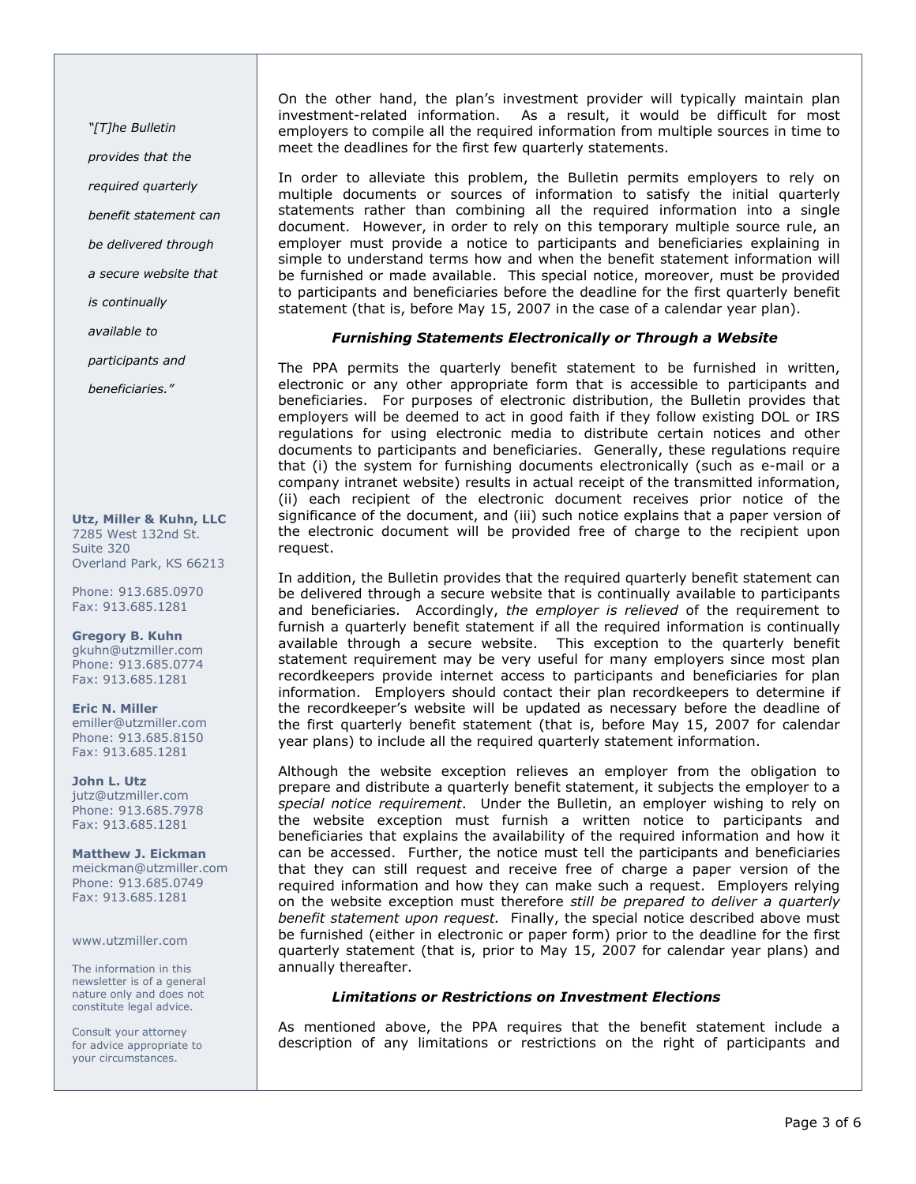"[T]he Bulletin

provides that the

required quarterly

benefit statement can

be delivered through

a secure website that

is continually

available to

participants and

beneficiaries."

Utz, Miller & Kuhn, LLC 7285 West 132nd St. Suite 320 Overland Park, KS 66213

Phone: 913.685.0970 Fax: 913.685.1281

Gregory B. Kuhn gkuhn@utzmiller.com Phone: 913.685.0774 Fax: 913.685.1281

Eric N. Miller emiller@utzmiller.com Phone: 913.685.8150 Fax: 913.685.1281

John L. Utz jutz@utzmiller.com Phone: 913.685.7978 Fax: 913.685.1281

Matthew J. Eickman meickman@utzmiller.com Phone: 913.685.0749 Fax: 913.685.1281

www.utzmiller.com

The information in this newsletter is of a general nature only and does not constitute legal advice.

Consult your attorney for advice appropriate to your circumstances.

On the other hand, the plan's investment provider will typically maintain plan investment-related information. As a result, it would be difficult for most As a result, it would be difficult for most employers to compile all the required information from multiple sources in time to meet the deadlines for the first few quarterly statements.

In order to alleviate this problem, the Bulletin permits employers to rely on multiple documents or sources of information to satisfy the initial quarterly statements rather than combining all the required information into a single document. However, in order to rely on this temporary multiple source rule, an employer must provide a notice to participants and beneficiaries explaining in simple to understand terms how and when the benefit statement information will be furnished or made available. This special notice, moreover, must be provided to participants and beneficiaries before the deadline for the first quarterly benefit statement (that is, before May 15, 2007 in the case of a calendar year plan).

# Furnishing Statements Electronically or Through a Website

The PPA permits the quarterly benefit statement to be furnished in written, electronic or any other appropriate form that is accessible to participants and beneficiaries. For purposes of electronic distribution, the Bulletin provides that employers will be deemed to act in good faith if they follow existing DOL or IRS regulations for using electronic media to distribute certain notices and other documents to participants and beneficiaries. Generally, these regulations require that (i) the system for furnishing documents electronically (such as e-mail or a company intranet website) results in actual receipt of the transmitted information, (ii) each recipient of the electronic document receives prior notice of the significance of the document, and (iii) such notice explains that a paper version of the electronic document will be provided free of charge to the recipient upon request.

In addition, the Bulletin provides that the required quarterly benefit statement can be delivered through a secure website that is continually available to participants and beneficiaries. Accordingly, the employer is relieved of the requirement to furnish a quarterly benefit statement if all the required information is continually available through a secure website. This exception to the quarterly benefit statement requirement may be very useful for many employers since most plan recordkeepers provide internet access to participants and beneficiaries for plan information. Employers should contact their plan recordkeepers to determine if the recordkeeper's website will be updated as necessary before the deadline of the first quarterly benefit statement (that is, before May 15, 2007 for calendar year plans) to include all the required quarterly statement information.

Although the website exception relieves an employer from the obligation to prepare and distribute a quarterly benefit statement, it subjects the employer to a special notice requirement. Under the Bulletin, an employer wishing to rely on the website exception must furnish a written notice to participants and beneficiaries that explains the availability of the required information and how it can be accessed. Further, the notice must tell the participants and beneficiaries that they can still request and receive free of charge a paper version of the required information and how they can make such a request. Employers relying on the website exception must therefore still be prepared to deliver a quarterly benefit statement upon request. Finally, the special notice described above must be furnished (either in electronic or paper form) prior to the deadline for the first quarterly statement (that is, prior to May 15, 2007 for calendar year plans) and annually thereafter.

### Limitations or Restrictions on Investment Elections

As mentioned above, the PPA requires that the benefit statement include a description of any limitations or restrictions on the right of participants and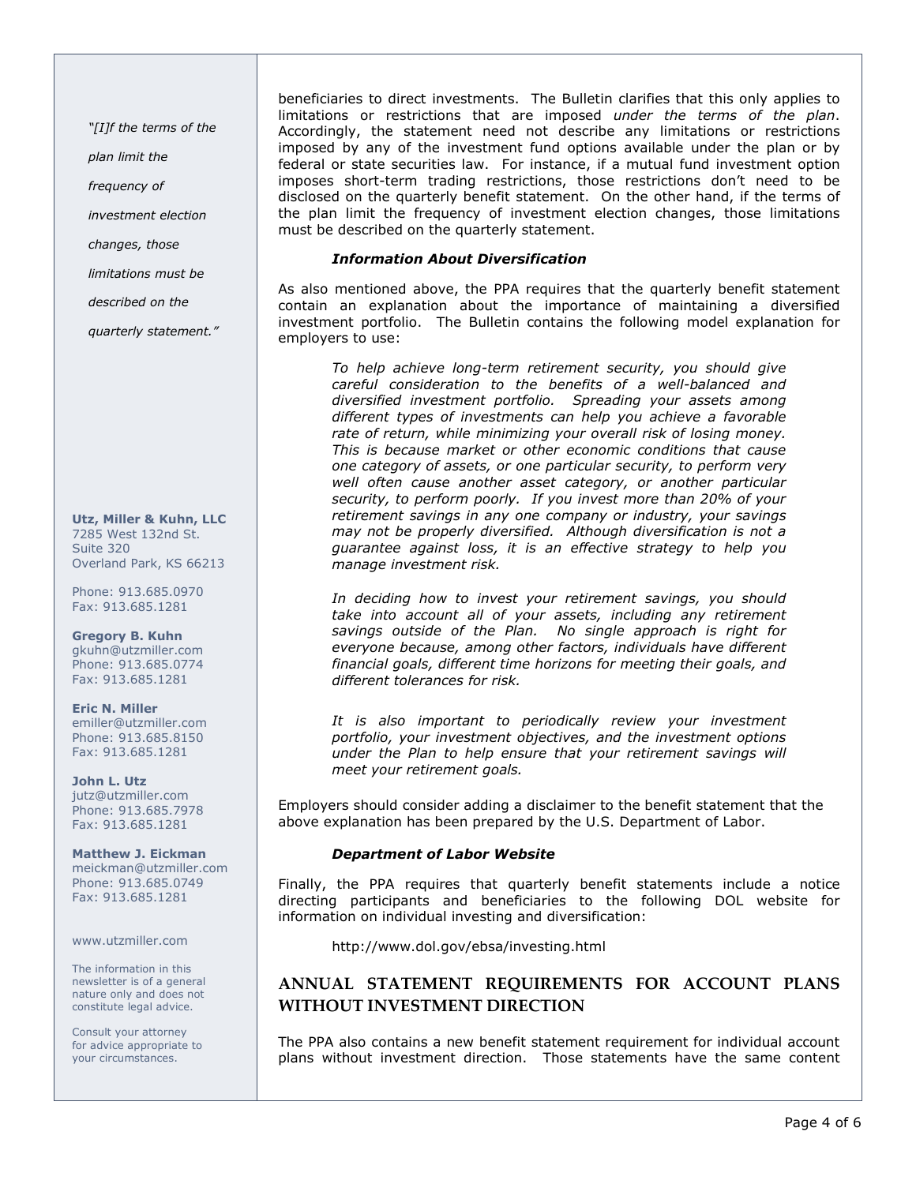"[I]f the terms of the

plan limit the

frequency of

investment election

changes, those

limitations must be

described on the

quarterly statement."

Utz, Miller & Kuhn, LLC 7285 West 132nd St. Suite 320 Overland Park, KS 66213

Phone: 913.685.0970 Fax: 913.685.1281

Gregory B. Kuhn gkuhn@utzmiller.com Phone: 913.685.0774 Fax: 913.685.1281

Eric N. Miller emiller@utzmiller.com Phone: 913.685.8150 Fax: 913.685.1281

John L. Utz jutz@utzmiller.com Phone: 913.685.7978 Fax: 913.685.1281

Matthew J. Eickman meickman@utzmiller.com Phone: 913.685.0749 Fax: 913.685.1281

www.utzmiller.com

The information in this newsletter is of a general nature only and does not constitute legal advice.

Consult your attorney for advice appropriate to your circumstances.

beneficiaries to direct investments. The Bulletin clarifies that this only applies to limitations or restrictions that are imposed under the terms of the plan. Accordingly, the statement need not describe any limitations or restrictions imposed by any of the investment fund options available under the plan or by federal or state securities law. For instance, if a mutual fund investment option imposes short-term trading restrictions, those restrictions don't need to be disclosed on the quarterly benefit statement. On the other hand, if the terms of the plan limit the frequency of investment election changes, those limitations must be described on the quarterly statement.

#### Information About Diversification

As also mentioned above, the PPA requires that the quarterly benefit statement contain an explanation about the importance of maintaining a diversified investment portfolio. The Bulletin contains the following model explanation for employers to use:

To help achieve long-term retirement security, you should give careful consideration to the benefits of a well-balanced and diversified investment portfolio. Spreading your assets among different types of investments can help you achieve a favorable rate of return, while minimizing your overall risk of losing money. This is because market or other economic conditions that cause one category of assets, or one particular security, to perform very well often cause another asset category, or another particular security, to perform poorly. If you invest more than 20% of your retirement savings in any one company or industry, your savings may not be properly diversified. Although diversification is not a guarantee against loss, it is an effective strategy to help you manage investment risk.

In deciding how to invest your retirement savings, you should take into account all of your assets, including any retirement savings outside of the Plan. No single approach is right for everyone because, among other factors, individuals have different financial goals, different time horizons for meeting their goals, and different tolerances for risk.

It is also important to periodically review your investment portfolio, your investment objectives, and the investment options under the Plan to help ensure that your retirement savings will meet your retirement goals.

Employers should consider adding a disclaimer to the benefit statement that the above explanation has been prepared by the U.S. Department of Labor.

#### Department of Labor Website

Finally, the PPA requires that quarterly benefit statements include a notice directing participants and beneficiaries to the following DOL website for information on individual investing and diversification:

http://www.dol.gov/ebsa/investing.html

# ANNUAL STATEMENT REQUIREMENTS FOR ACCOUNT PLANS WITHOUT INVESTMENT DIRECTION

The PPA also contains a new benefit statement requirement for individual account plans without investment direction. Those statements have the same content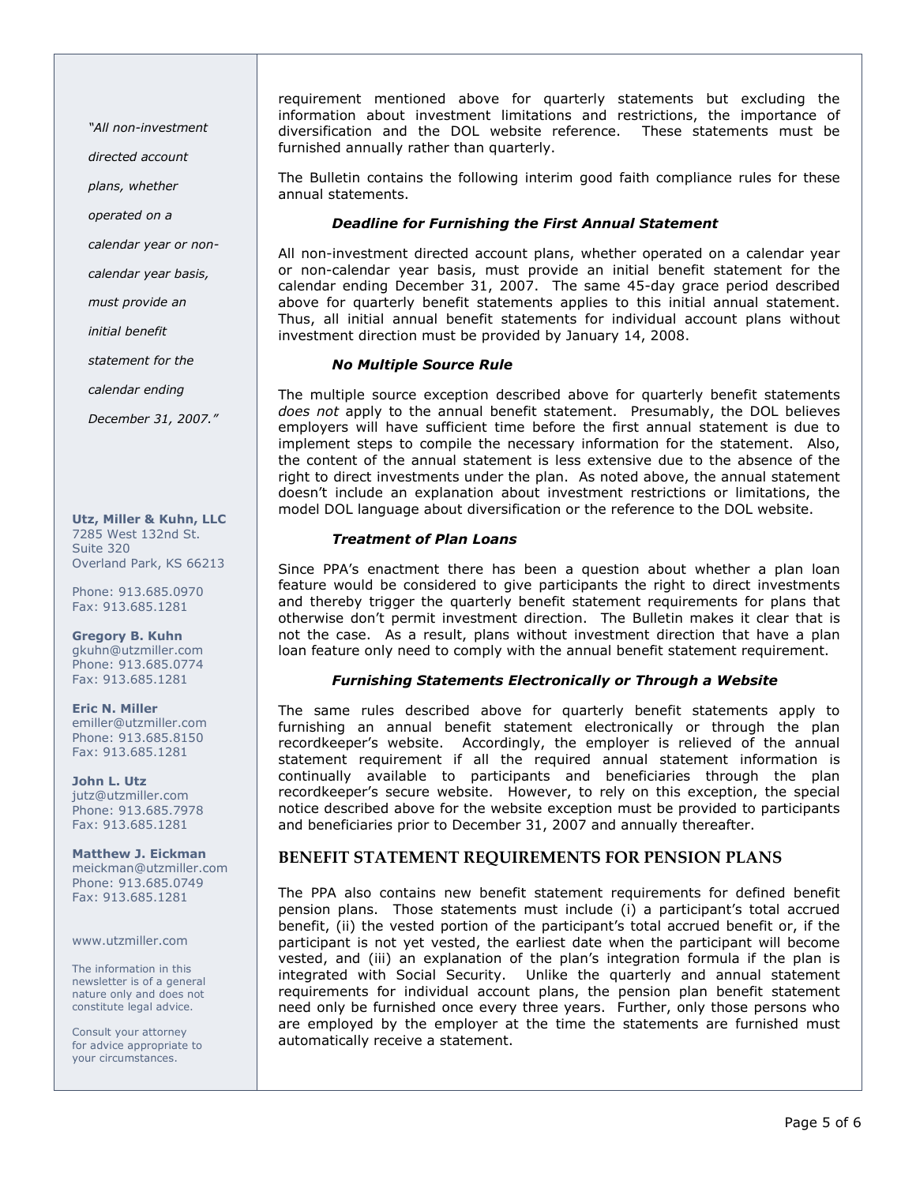"All non-investment

directed account

plans, whether

operated on a

calendar year or non-

calendar year basis,

must provide an

initial benefit

statement for the

calendar ending

December 31, 2007."

Utz, Miller & Kuhn, LLC 7285 West 132nd St. Suite 320 Overland Park, KS 66213

Phone: 913.685.0970 Fax: 913.685.1281

Gregory B. Kuhn gkuhn@utzmiller.com Phone: 913.685.0774 Fax: 913.685.1281

Eric N. Miller emiller@utzmiller.com Phone: 913.685.8150 Fax: 913.685.1281

John L. Utz jutz@utzmiller.com Phone: 913.685.7978 Fax: 913.685.1281

Matthew J. Eickman meickman@utzmiller.com Phone: 913.685.0749 Fax: 913.685.1281

www.utzmiller.com

The information in this newsletter is of a general nature only and does not constitute legal advice.

Consult your attorney for advice appropriate to your circumstances.

requirement mentioned above for quarterly statements but excluding the information about investment limitations and restrictions, the importance of diversification and the DOL website reference. These statements must be furnished annually rather than quarterly.

The Bulletin contains the following interim good faith compliance rules for these annual statements.

#### Deadline for Furnishing the First Annual Statement

All non-investment directed account plans, whether operated on a calendar year or non-calendar year basis, must provide an initial benefit statement for the calendar ending December 31, 2007. The same 45-day grace period described above for quarterly benefit statements applies to this initial annual statement. Thus, all initial annual benefit statements for individual account plans without investment direction must be provided by January 14, 2008.

#### No Multiple Source Rule

The multiple source exception described above for quarterly benefit statements does not apply to the annual benefit statement. Presumably, the DOL believes employers will have sufficient time before the first annual statement is due to implement steps to compile the necessary information for the statement. Also, the content of the annual statement is less extensive due to the absence of the right to direct investments under the plan. As noted above, the annual statement doesn't include an explanation about investment restrictions or limitations, the model DOL language about diversification or the reference to the DOL website.

#### Treatment of Plan Loans

Since PPA's enactment there has been a question about whether a plan loan feature would be considered to give participants the right to direct investments and thereby trigger the quarterly benefit statement requirements for plans that otherwise don't permit investment direction. The Bulletin makes it clear that is not the case. As a result, plans without investment direction that have a plan loan feature only need to comply with the annual benefit statement requirement.

#### Furnishing Statements Electronically or Through a Website

The same rules described above for quarterly benefit statements apply to furnishing an annual benefit statement electronically or through the plan recordkeeper's website. Accordingly, the employer is relieved of the annual statement requirement if all the required annual statement information is continually available to participants and beneficiaries through the plan recordkeeper's secure website. However, to rely on this exception, the special notice described above for the website exception must be provided to participants and beneficiaries prior to December 31, 2007 and annually thereafter.

### BENEFIT STATEMENT REQUIREMENTS FOR PENSION PLANS

The PPA also contains new benefit statement requirements for defined benefit pension plans. Those statements must include (i) a participant's total accrued benefit, (ii) the vested portion of the participant's total accrued benefit or, if the participant is not yet vested, the earliest date when the participant will become vested, and (iii) an explanation of the plan's integration formula if the plan is integrated with Social Security. Unlike the quarterly and annual statement requirements for individual account plans, the pension plan benefit statement need only be furnished once every three years. Further, only those persons who are employed by the employer at the time the statements are furnished must automatically receive a statement.